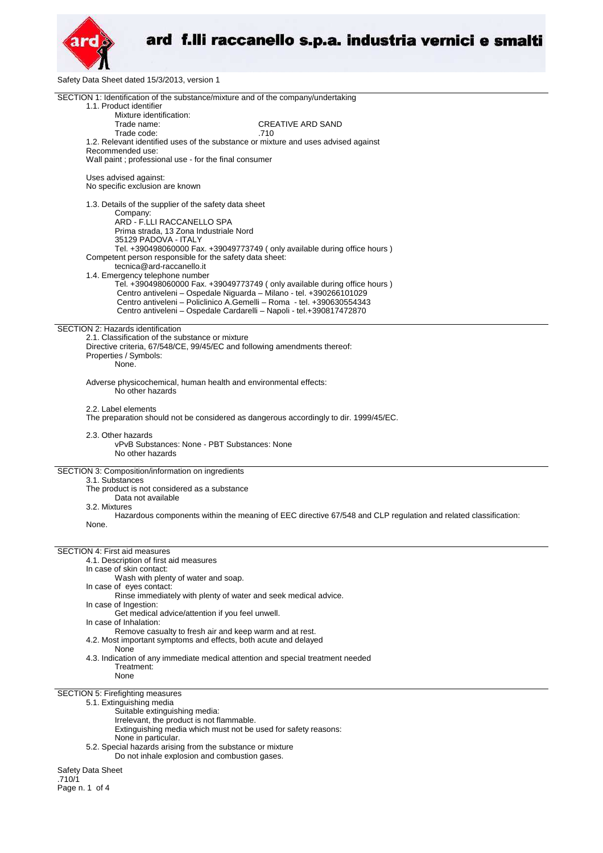

Safety Data Sheet dated 15/3/2013, version 1

| SECTION 1: Identification of the substance/mixture and of the company/undertaking<br>1.1. Product identifier   |  |
|----------------------------------------------------------------------------------------------------------------|--|
| Mixture identification:                                                                                        |  |
| <b>CREATIVE ARD SAND</b><br>Trade name:                                                                        |  |
| Trade code:<br>.710                                                                                            |  |
| 1.2. Relevant identified uses of the substance or mixture and uses advised against                             |  |
| Recommended use:<br>Wall paint; professional use - for the final consumer                                      |  |
|                                                                                                                |  |
| Uses advised against:                                                                                          |  |
| No specific exclusion are known                                                                                |  |
| 1.3. Details of the supplier of the safety data sheet                                                          |  |
| Company:                                                                                                       |  |
| ARD - F.LLI RACCANELLO SPA                                                                                     |  |
| Prima strada, 13 Zona Industriale Nord<br>35129 PADOVA - ITALY                                                 |  |
| Tel. +390498060000 Fax. +39049773749 ( only available during office hours )                                    |  |
| Competent person responsible for the safety data sheet:                                                        |  |
| tecnica@ard-raccanello.it<br>1.4. Emergency telephone number                                                   |  |
| Tel. +390498060000 Fax. +39049773749 (only available during office hours)                                      |  |
| Centro antiveleni - Ospedale Niguarda - Milano - tel. +390266101029                                            |  |
| Centro antiveleni - Policlinico A.Gemelli - Roma - tel. +390630554343                                          |  |
| Centro antiveleni - Ospedale Cardarelli - Napoli - tel.+390817472870                                           |  |
| SECTION 2: Hazards identification                                                                              |  |
| 2.1. Classification of the substance or mixture                                                                |  |
| Directive criteria, 67/548/CE, 99/45/EC and following amendments thereof:<br>Properties / Symbols:             |  |
| None.                                                                                                          |  |
|                                                                                                                |  |
| Adverse physicochemical, human health and environmental effects:<br>No other hazards                           |  |
|                                                                                                                |  |
| 2.2. Label elements                                                                                            |  |
| The preparation should not be considered as dangerous accordingly to dir. 1999/45/EC.                          |  |
| 2.3. Other hazards                                                                                             |  |
| vPvB Substances: None - PBT Substances: None                                                                   |  |
| No other hazards                                                                                               |  |
| SECTION 3: Composition/information on ingredients                                                              |  |
| 3.1. Substances                                                                                                |  |
| The product is not considered as a substance<br>Data not available                                             |  |
| 3.2. Mixtures                                                                                                  |  |
| Hazardous components within the meaning of EEC directive 67/548 and CLP regulation and related classification: |  |
| None.                                                                                                          |  |
|                                                                                                                |  |
| <b>SECTION 4: First aid measures</b>                                                                           |  |
| 4.1. Description of first aid measures                                                                         |  |
| In case of skin contact:<br>Wash with plenty of water and soap.                                                |  |
| In case of eyes contact:                                                                                       |  |
| Rinse immediately with plenty of water and seek medical advice.                                                |  |
| In case of Ingestion:                                                                                          |  |
| Get medical advice/attention if you feel unwell.<br>In case of Inhalation:                                     |  |
| Remove casualty to fresh air and keep warm and at rest.                                                        |  |
| 4.2. Most important symptoms and effects, both acute and delayed                                               |  |
| None<br>4.3. Indication of any immediate medical attention and special treatment needed                        |  |
| Treatment:                                                                                                     |  |
| None                                                                                                           |  |
|                                                                                                                |  |
| SECTION 5: Firefighting measures<br>5.1. Extinguishing media                                                   |  |
| Suitable extinguishing media:                                                                                  |  |
| Irrelevant, the product is not flammable.                                                                      |  |
| Extinguishing media which must not be used for safety reasons:<br>None in particular.                          |  |
| 5.2. Special hazards arising from the substance or mixture                                                     |  |
| Do not inhale explosion and combustion gases.                                                                  |  |
|                                                                                                                |  |
| Safety Data Sheet                                                                                              |  |

.710/1 Page n. 1 of 4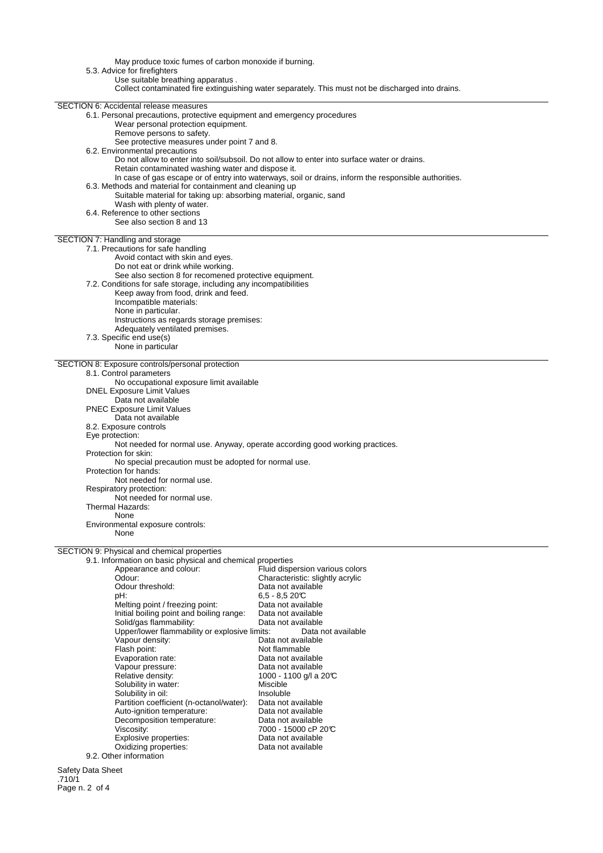May produce toxic fumes of carbon monoxide if burning. 5.3. Advice for firefighters Use suitable breathing apparatus . Collect contaminated fire extinguishing water separately. This must not be discharged into drains. SECTION 6: Accidental release measures 6.1. Personal precautions, protective equipment and emergency procedures Wear personal protection equipment. Remove persons to safety. See protective measures under point 7 and 8. 6.2. Environmental precautions Do not allow to enter into soil/subsoil. Do not allow to enter into surface water or drains. Retain contaminated washing water and dispose it. In case of gas escape or of entry into waterways, soil or drains, inform the responsible authorities. 6.3. Methods and material for containment and cleaning up Suitable material for taking up: absorbing material, organic, sand Wash with plenty of water. 6.4. Reference to other sections See also section 8 and 13 SECTION 7: Handling and storage 7.1. Precautions for safe handling Avoid contact with skin and eyes. Do not eat or drink while working. See also section 8 for recomened protective equipment. 7.2. Conditions for safe storage, including any incompatibilities Keep away from food, drink and feed. Incompatible materials: None in particular. Instructions as regards storage premises: Adequately ventilated premises. 7.3. Specific end use(s) None in particular SECTION 8: Exposure controls/personal protection 8.1. Control parameters No occupational exposure limit available DNEL Exposure Limit Values Data not available PNEC Exposure Limit Values Data not available 8.2. Exposure controls Eye protection: Not needed for normal use. Anyway, operate according good working practices. Protection for skin: No special precaution must be adopted for normal use. Protection for hands: Not needed for normal use. Respiratory protection: Not needed for normal use. Thermal Hazards: None Environmental exposure controls: None SECTION 9: Physical and chemical properties 9.1. Information on basic physical and chemical properties Fluid dispersion various colors reposition of the characteristic: slightly acrylic<br>Odour: Characteristic: slightly acrylic<br>Odour threshold: Data not available Odour threshold:<br>pH: 6,5 - 8,5 20°C<br>Data not available Melting point / freezing point: Data not available<br>
Initial boiling point and boiling range: Data not available Initial boiling point and boiling range: Data not available Solid/gas flammability:<br>
Upper/lower flammability or explosive limits: Data not available Upper/lower flammability or explosive limits:<br>Vapour density: Data Vapour density:<br>
Flash point:<br>
Flash point:<br>
Dot flammable Not flammable<br>Data not available Evaporation rate: Vapour pressure: Data not available Relative density:  $1000 - 1100$  g/l a 20°C Solubility in water:<br>
Solubility in oil:<br>
Miscluble Solubility in oil: Insoluble Insoluble<br>Partition coefficient (n-octanol/water): Data not available

7000 - 15000 cP 20°C<br>Data not available

Safety Data Sheet .710/1 Page n. 2 of 4

Partition coefficient (n-octanol/water): Data not available Auto-ignition temperature: Data not available

Explosive properties:<br>
Oxidizing properties:<br>
Oxidizing properties:<br>
Data not available

Decomposition temperature:<br>Viscosity:

Oxidizing properties:

9.2. Other information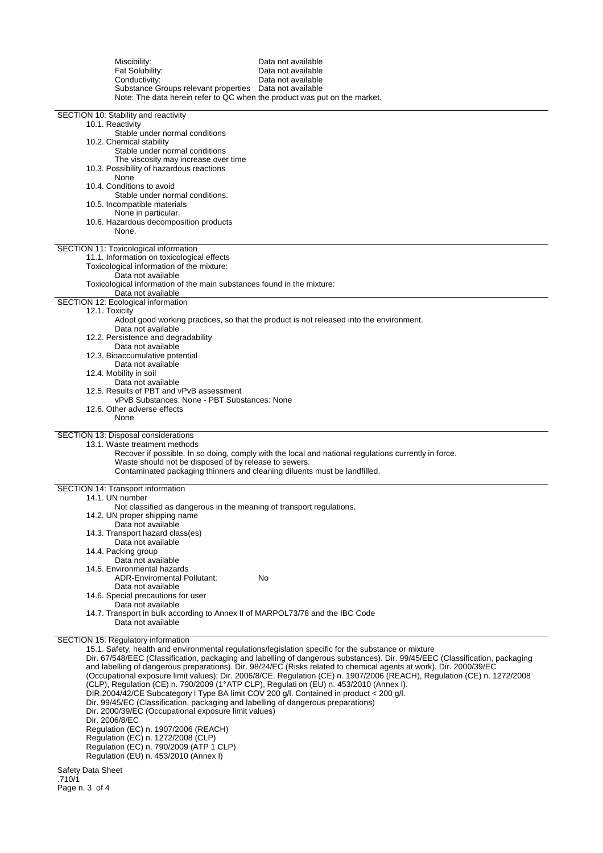| Miscibility:<br>Fat Solubility:<br>Conductivity:<br>Substance Groups relevant properties  Data not available<br>Note: The data herein refer to QC when the product was put on the market.                                                                                                                                                                                                                                                                                                                        | Data not available<br>Data not available<br>Data not available                                                                                                                                                                                                                                                                                                                                                                                                                          |
|------------------------------------------------------------------------------------------------------------------------------------------------------------------------------------------------------------------------------------------------------------------------------------------------------------------------------------------------------------------------------------------------------------------------------------------------------------------------------------------------------------------|-----------------------------------------------------------------------------------------------------------------------------------------------------------------------------------------------------------------------------------------------------------------------------------------------------------------------------------------------------------------------------------------------------------------------------------------------------------------------------------------|
| SECTION 10: Stability and reactivity<br>10.1. Reactivity<br>Stable under normal conditions<br>10.2. Chemical stability                                                                                                                                                                                                                                                                                                                                                                                           |                                                                                                                                                                                                                                                                                                                                                                                                                                                                                         |
| Stable under normal conditions<br>The viscosity may increase over time<br>10.3. Possibility of hazardous reactions<br>None<br>10.4. Conditions to avoid                                                                                                                                                                                                                                                                                                                                                          |                                                                                                                                                                                                                                                                                                                                                                                                                                                                                         |
| Stable under normal conditions.<br>10.5. Incompatible materials<br>None in particular.<br>10.6. Hazardous decomposition products                                                                                                                                                                                                                                                                                                                                                                                 |                                                                                                                                                                                                                                                                                                                                                                                                                                                                                         |
| None.<br>SECTION 11: Toxicological information<br>11.1. Information on toxicological effects                                                                                                                                                                                                                                                                                                                                                                                                                     |                                                                                                                                                                                                                                                                                                                                                                                                                                                                                         |
| Toxicological information of the mixture:<br>Data not available<br>Toxicological information of the main substances found in the mixture:<br>Data not available                                                                                                                                                                                                                                                                                                                                                  |                                                                                                                                                                                                                                                                                                                                                                                                                                                                                         |
| SECTION 12: Ecological information<br>12.1. Toxicity<br>Data not available                                                                                                                                                                                                                                                                                                                                                                                                                                       | Adopt good working practices, so that the product is not released into the environment.                                                                                                                                                                                                                                                                                                                                                                                                 |
| 12.2. Persistence and degradability<br>Data not available<br>12.3. Bioaccumulative potential<br>Data not available                                                                                                                                                                                                                                                                                                                                                                                               |                                                                                                                                                                                                                                                                                                                                                                                                                                                                                         |
| 12.4. Mobility in soil<br>Data not available<br>12.5. Results of PBT and vPvB assessment<br>vPvB Substances: None - PBT Substances: None                                                                                                                                                                                                                                                                                                                                                                         |                                                                                                                                                                                                                                                                                                                                                                                                                                                                                         |
| 12.6. Other adverse effects<br>None                                                                                                                                                                                                                                                                                                                                                                                                                                                                              |                                                                                                                                                                                                                                                                                                                                                                                                                                                                                         |
| SECTION 13: Disposal considerations<br>13.1. Waste treatment methods<br>Waste should not be disposed of by release to sewers.<br>Contaminated packaging thinners and cleaning diluents must be landfilled.                                                                                                                                                                                                                                                                                                       | Recover if possible. In so doing, comply with the local and national regulations currently in force.                                                                                                                                                                                                                                                                                                                                                                                    |
| SECTION 14: Transport information<br>14.1. UN number                                                                                                                                                                                                                                                                                                                                                                                                                                                             |                                                                                                                                                                                                                                                                                                                                                                                                                                                                                         |
| Not classified as dangerous in the meaning of transport regulations.<br>14.2. UN proper shipping name<br>Data not available<br>14.3. Transport hazard class(es)                                                                                                                                                                                                                                                                                                                                                  |                                                                                                                                                                                                                                                                                                                                                                                                                                                                                         |
| Data not available<br>14.4. Packing group<br>Data not available                                                                                                                                                                                                                                                                                                                                                                                                                                                  |                                                                                                                                                                                                                                                                                                                                                                                                                                                                                         |
| 14.5. Environmental hazards<br><b>ADR-Enviromental Pollutant:</b><br>Data not available<br>14.6. Special precautions for user                                                                                                                                                                                                                                                                                                                                                                                    | No                                                                                                                                                                                                                                                                                                                                                                                                                                                                                      |
| Data not available<br>14.7. Transport in bulk according to Annex II of MARPOL73/78 and the IBC Code<br>Data not available                                                                                                                                                                                                                                                                                                                                                                                        |                                                                                                                                                                                                                                                                                                                                                                                                                                                                                         |
| SECTION 15: Regulatory information<br>(CLP), Regulation (CE) n. 790/2009 (1°ATP CLP), Regulati on (EU) n. 453/2010 (Annex I).<br>DIR.2004/42/CE Subcategory I Type BA limit COV 200 g/l. Contained in product < 200 g/l.<br>Dir. 99/45/EC (Classification, packaging and labelling of dangerous preparations)<br>Dir. 2000/39/EC (Occupational exposure limit values)<br>Dir. 2006/8/EC<br>Regulation (EC) n. 1907/2006 (REACH)<br>Regulation (EC) n. 1272/2008 (CLP)<br>Regulation (EC) n. 790/2009 (ATP 1 CLP) | 15.1. Safety, health and environmental regulations/legislation specific for the substance or mixture<br>Dir. 67/548/EEC (Classification, packaging and labelling of dangerous substances). Dir. 99/45/EEC (Classification, packaging<br>and labelling of dangerous preparations). Dir. 98/24/EC (Risks related to chemical agents at work). Dir. 2000/39/EC<br>(Occupational exposure limit values); Dir. 2006/8/CE. Regulation (CE) n. 1907/2006 (REACH), Regulation (CE) n. 1272/2008 |
| Regulation (EU) n. 453/2010 (Annex I)                                                                                                                                                                                                                                                                                                                                                                                                                                                                            |                                                                                                                                                                                                                                                                                                                                                                                                                                                                                         |

Safety Data Sheet .710/1 Page n. 3 of 4